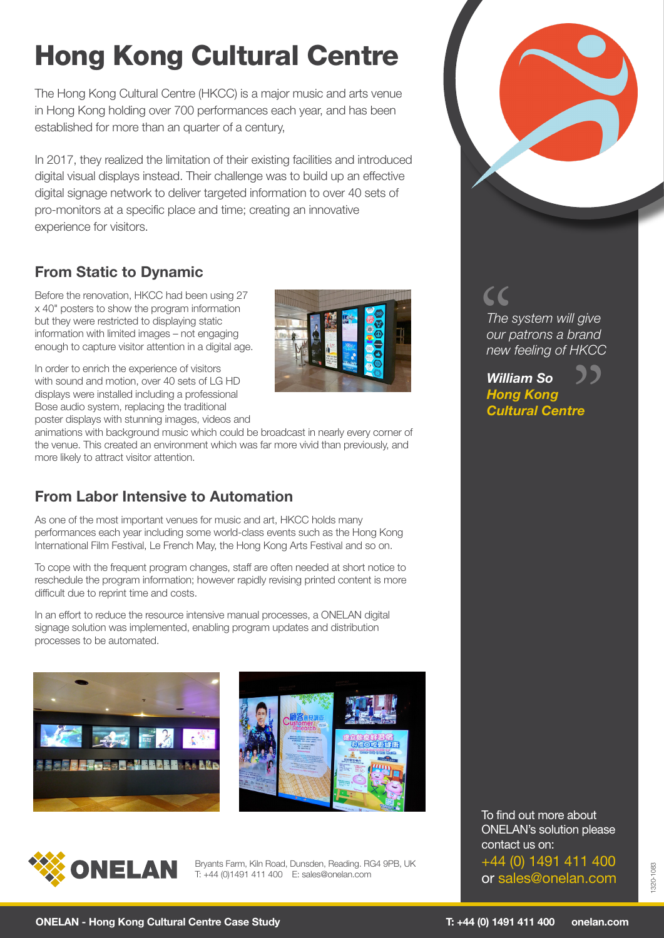# Hong Kong Cultural Centre

The Hong Kong Cultural Centre (HKCC) is a major music and arts venue in Hong Kong holding over 700 performances each year, and has been established for more than an quarter of a century,

In 2017, they realized the limitation of their existing facilities and introduced digital visual displays instead. Their challenge was to build up an effective digital signage network to deliver targeted information to over 40 sets of pro-monitors at a specific place and time; creating an innovative experience for visitors.

# **From Static to Dynamic**

Before the renovation, HKCC had been using 27 x 40" posters to show the program information but they were restricted to displaying static information with limited images – not engaging enough to capture visitor attention in a digital age.

In order to enrich the experience of visitors with sound and motion, over 40 sets of LG HD displays were installed including a professional Bose audio system, replacing the traditional poster displays with stunning images, videos and



animations with background music which could be broadcast in nearly every corner of the venue. This created an environment which was far more vivid than previously, and more likely to attract visitor attention.

# **From Labor Intensive to Automation**

As one of the most important venues for music and art, HKCC holds many performances each year including some world-class events such as the Hong Kong International Film Festival, Le French May, the Hong Kong Arts Festival and so on.

To cope with the frequent program changes, staff are often needed at short notice to reschedule the program information; however rapidly revising printed content is more difficult due to reprint time and costs.

In an effort to reduce the resource intensive manual processes, a ONELAN digital signage solution was implemented, enabling program updates and distribution processes to be automated.







Bryants Farm, Kiln Road, Dunsden, Reading. RG4 9PB, UK T: +44 (0)1491 411 400 E: sales@onelan.com

To find out more about ONELAN's solution please contact us on: +44 (0) 1491 411 400 or sales@onelan.com

*The system will give our patrons a brand new feeling of HKCC* "

*William So Hong Kong Cultural Centre*  ${\mathfrak{Z}}$ <br> $^{\mathsf{re}}$ 

1320-1083

320-1083